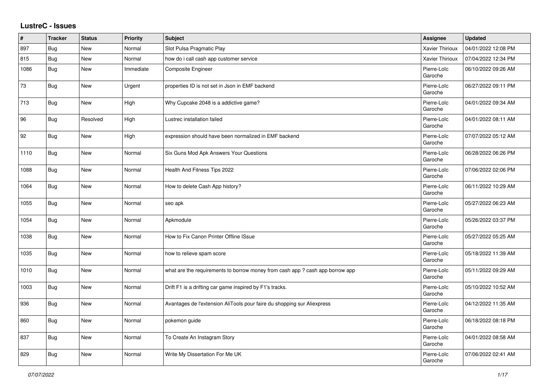## **LustreC - Issues**

| #    | <b>Tracker</b> | <b>Status</b> | Priority  | <b>Subject</b>                                                                | Assignee               | <b>Updated</b>      |
|------|----------------|---------------|-----------|-------------------------------------------------------------------------------|------------------------|---------------------|
| 897  | Bug            | New           | Normal    | Slot Pulsa Pragmatic Play                                                     | Xavier Thirioux        | 04/01/2022 12:08 PM |
| 815  | Bug            | <b>New</b>    | Normal    | how do i call cash app customer service                                       | Xavier Thirioux        | 07/04/2022 12:34 PM |
| 1086 | Bug            | New           | Immediate | <b>Composite Engineer</b>                                                     | Pierre-Loïc<br>Garoche | 06/10/2022 09:26 AM |
| 73   | Bug            | <b>New</b>    | Urgent    | properties ID is not set in Json in EMF backend                               | Pierre-Loïc<br>Garoche | 06/27/2022 09:11 PM |
| 713  | Bug            | <b>New</b>    | High      | Why Cupcake 2048 is a addictive game?                                         | Pierre-Loïc<br>Garoche | 04/01/2022 09:34 AM |
| 96   | Bug            | Resolved      | High      | Lustrec installation failed                                                   | Pierre-Loïc<br>Garoche | 04/01/2022 08:11 AM |
| 92   | Bug            | New           | High      | expression should have been normalized in EMF backend                         | Pierre-Loïc<br>Garoche | 07/07/2022 05:12 AM |
| 1110 | Bug            | New           | Normal    | Six Guns Mod Apk Answers Your Questions                                       | Pierre-Loïc<br>Garoche | 06/28/2022 06:26 PM |
| 1088 | Bug            | <b>New</b>    | Normal    | Health And Fitness Tips 2022                                                  | Pierre-Loïc<br>Garoche | 07/06/2022 02:06 PM |
| 1064 | Bug            | New           | Normal    | How to delete Cash App history?                                               | Pierre-Loïc<br>Garoche | 06/11/2022 10:29 AM |
| 1055 | <b>Bug</b>     | New           | Normal    | seo apk                                                                       | Pierre-Loïc<br>Garoche | 05/27/2022 06:23 AM |
| 1054 | Bug            | <b>New</b>    | Normal    | Apkmodule                                                                     | Pierre-Loïc<br>Garoche | 05/26/2022 03:37 PM |
| 1038 | Bug            | New           | Normal    | How to Fix Canon Printer Offline ISsue                                        | Pierre-Loïc<br>Garoche | 05/27/2022 05:25 AM |
| 1035 | Bug            | New           | Normal    | how to relieve spam score                                                     | Pierre-Loïc<br>Garoche | 05/18/2022 11:39 AM |
| 1010 | Bug            | New           | Normal    | what are the requirements to borrow money from cash app ? cash app borrow app | Pierre-Loïc<br>Garoche | 05/11/2022 09:29 AM |
| 1003 | Bug            | <b>New</b>    | Normal    | Drift F1 is a drifting car game inspired by F1's tracks.                      | Pierre-Loïc<br>Garoche | 05/10/2022 10:52 AM |
| 936  | Bug            | New           | Normal    | Avantages de l'extension AliTools pour faire du shopping sur Aliexpress       | Pierre-Loïc<br>Garoche | 04/12/2022 11:35 AM |
| 860  | Bug            | New           | Normal    | pokemon guide                                                                 | Pierre-Loïc<br>Garoche | 06/18/2022 08:18 PM |
| 837  | Bug            | New           | Normal    | To Create An Instagram Story                                                  | Pierre-Loïc<br>Garoche | 04/01/2022 08:58 AM |
| 829  | Bug            | New           | Normal    | Write My Dissertation For Me UK                                               | Pierre-Loïc<br>Garoche | 07/06/2022 02:41 AM |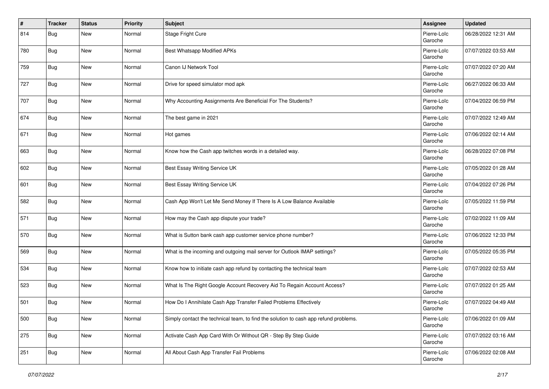| #   | <b>Tracker</b> | <b>Status</b> | <b>Priority</b> | <b>Subject</b>                                                                       | Assignee               | <b>Updated</b>      |
|-----|----------------|---------------|-----------------|--------------------------------------------------------------------------------------|------------------------|---------------------|
| 814 | Bug            | New           | Normal          | Stage Fright Cure                                                                    | Pierre-Loïc<br>Garoche | 06/28/2022 12:31 AM |
| 780 | Bug            | New           | Normal          | Best Whatsapp Modified APKs                                                          | Pierre-Loïc<br>Garoche | 07/07/2022 03:53 AM |
| 759 | Bug            | New           | Normal          | Canon IJ Network Tool                                                                | Pierre-Loïc<br>Garoche | 07/07/2022 07:20 AM |
| 727 | Bug            | New           | Normal          | Drive for speed simulator mod apk                                                    | Pierre-Loïc<br>Garoche | 06/27/2022 06:33 AM |
| 707 | Bug            | New           | Normal          | Why Accounting Assignments Are Beneficial For The Students?                          | Pierre-Loïc<br>Garoche | 07/04/2022 06:59 PM |
| 674 | <b>Bug</b>     | New           | Normal          | The best game in 2021                                                                | Pierre-Loïc<br>Garoche | 07/07/2022 12:49 AM |
| 671 | Bug            | New           | Normal          | Hot games                                                                            | Pierre-Loïc<br>Garoche | 07/06/2022 02:14 AM |
| 663 | Bug            | New           | Normal          | Know how the Cash app twitches words in a detailed way.                              | Pierre-Loïc<br>Garoche | 06/28/2022 07:08 PM |
| 602 | Bug            | New           | Normal          | Best Essay Writing Service UK                                                        | Pierre-Loïc<br>Garoche | 07/05/2022 01:28 AM |
| 601 | Bug            | New           | Normal          | Best Essay Writing Service UK                                                        | Pierre-Loïc<br>Garoche | 07/04/2022 07:26 PM |
| 582 | Bug            | New           | Normal          | Cash App Won't Let Me Send Money If There Is A Low Balance Available                 | Pierre-Loïc<br>Garoche | 07/05/2022 11:59 PM |
| 571 | Bug            | New           | Normal          | How may the Cash app dispute your trade?                                             | Pierre-Loïc<br>Garoche | 07/02/2022 11:09 AM |
| 570 | <b>Bug</b>     | New           | Normal          | What is Sutton bank cash app customer service phone number?                          | Pierre-Loïc<br>Garoche | 07/06/2022 12:33 PM |
| 569 | Bug            | New           | Normal          | What is the incoming and outgoing mail server for Outlook IMAP settings?             | Pierre-Loïc<br>Garoche | 07/05/2022 05:35 PM |
| 534 | Bug            | New           | Normal          | Know how to initiate cash app refund by contacting the technical team                | Pierre-Loïc<br>Garoche | 07/07/2022 02:53 AM |
| 523 | Bug            | New           | Normal          | What Is The Right Google Account Recovery Aid To Regain Account Access?              | Pierre-Loïc<br>Garoche | 07/07/2022 01:25 AM |
| 501 | Bug            | New           | Normal          | How Do I Annihilate Cash App Transfer Failed Problems Effectively                    | Pierre-Loïc<br>Garoche | 07/07/2022 04:49 AM |
| 500 | Bug            | New           | Normal          | Simply contact the technical team, to find the solution to cash app refund problems. | Pierre-Loïc<br>Garoche | 07/06/2022 01:09 AM |
| 275 | Bug            | New           | Normal          | Activate Cash App Card With Or Without QR - Step By Step Guide                       | Pierre-Loïc<br>Garoche | 07/07/2022 03:16 AM |
| 251 | <b>Bug</b>     | New           | Normal          | All About Cash App Transfer Fail Problems                                            | Pierre-Loïc<br>Garoche | 07/06/2022 02:08 AM |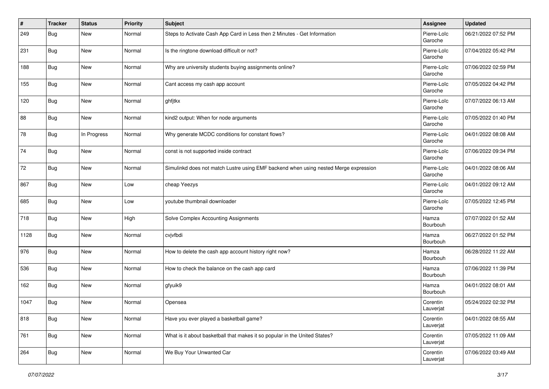| #      | <b>Tracker</b> | <b>Status</b> | <b>Priority</b> | <b>Subject</b>                                                                       | Assignee               | <b>Updated</b>      |
|--------|----------------|---------------|-----------------|--------------------------------------------------------------------------------------|------------------------|---------------------|
| 249    | Bug            | New           | Normal          | Steps to Activate Cash App Card in Less then 2 Minutes - Get Information             | Pierre-Loïc<br>Garoche | 06/21/2022 07:52 PM |
| 231    | <b>Bug</b>     | New           | Normal          | Is the ringtone download difficult or not?                                           | Pierre-Loïc<br>Garoche | 07/04/2022 05:42 PM |
| 188    | Bug            | New           | Normal          | Why are university students buying assignments online?                               | Pierre-Loïc<br>Garoche | 07/06/2022 02:59 PM |
| 155    | Bug            | New           | Normal          | Cant access my cash app account                                                      | Pierre-Loïc<br>Garoche | 07/05/2022 04:42 PM |
| 120    | Bug            | New           | Normal          | ghfjtkx                                                                              | Pierre-Loïc<br>Garoche | 07/07/2022 06:13 AM |
| 88     | Bug            | New           | Normal          | kind2 output: When for node arguments                                                | Pierre-Loïc<br>Garoche | 07/05/2022 01:40 PM |
| 78     | Bug            | In Progress   | Normal          | Why generate MCDC conditions for constant flows?                                     | Pierre-Loïc<br>Garoche | 04/01/2022 08:08 AM |
| 74     | Bug            | New           | Normal          | const is not supported inside contract                                               | Pierre-Loïc<br>Garoche | 07/06/2022 09:34 PM |
| $72\,$ | Bug            | New           | Normal          | Simulinkd does not match Lustre using EMF backend when using nested Merge expression | Pierre-Loïc<br>Garoche | 04/01/2022 08:06 AM |
| 867    | Bug            | New           | Low             | cheap Yeezys                                                                         | Pierre-Loïc<br>Garoche | 04/01/2022 09:12 AM |
| 685    | Bug            | New           | Low             | youtube thumbnail downloader                                                         | Pierre-Loïc<br>Garoche | 07/05/2022 12:45 PM |
| 718    | Bug            | New           | High            | Solve Complex Accounting Assignments                                                 | Hamza<br>Bourbouh      | 07/07/2022 01:52 AM |
| 1128   | Bug            | New           | Normal          | cvjvfbdi                                                                             | Hamza<br>Bourbouh      | 06/27/2022 01:52 PM |
| 976    | Bug            | New           | Normal          | How to delete the cash app account history right now?                                | Hamza<br>Bourbouh      | 06/28/2022 11:22 AM |
| 536    | Bug            | New           | Normal          | How to check the balance on the cash app card                                        | Hamza<br>Bourbouh      | 07/06/2022 11:39 PM |
| 162    | <b>Bug</b>     | New           | Normal          | gfyuik9                                                                              | Hamza<br>Bourbouh      | 04/01/2022 08:01 AM |
| 1047   | Bug            | New           | Normal          | Opensea                                                                              | Corentin<br>Lauverjat  | 05/24/2022 02:32 PM |
| 818    | <b>Bug</b>     | New           | Normal          | Have you ever played a basketball game?                                              | Corentin<br>Lauverjat  | 04/01/2022 08:55 AM |
| 761    | Bug            | New           | Normal          | What is it about basketball that makes it so popular in the United States?           | Corentin<br>Lauverjat  | 07/05/2022 11:09 AM |
| 264    | <b>Bug</b>     | New           | Normal          | We Buy Your Unwanted Car                                                             | Corentin<br>Lauverjat  | 07/06/2022 03:49 AM |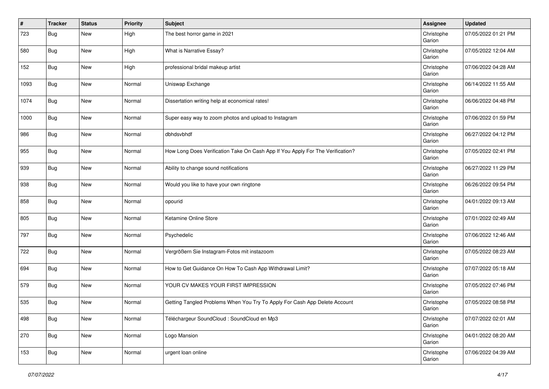| #    | <b>Tracker</b> | <b>Status</b> | <b>Priority</b> | <b>Subject</b>                                                                 | Assignee             | <b>Updated</b>      |
|------|----------------|---------------|-----------------|--------------------------------------------------------------------------------|----------------------|---------------------|
| 723  | Bug            | New           | High            | The best horror game in 2021                                                   | Christophe<br>Garion | 07/05/2022 01:21 PM |
| 580  | <b>Bug</b>     | New           | High            | What is Narrative Essay?                                                       | Christophe<br>Garion | 07/05/2022 12:04 AM |
| 152  | <b>Bug</b>     | New           | High            | professional bridal makeup artist                                              | Christophe<br>Garion | 07/06/2022 04:28 AM |
| 1093 | Bug            | New           | Normal          | Uniswap Exchange                                                               | Christophe<br>Garion | 06/14/2022 11:55 AM |
| 1074 | Bug            | New           | Normal          | Dissertation writing help at economical rates!                                 | Christophe<br>Garion | 06/06/2022 04:48 PM |
| 1000 | <b>Bug</b>     | New           | Normal          | Super easy way to zoom photos and upload to Instagram                          | Christophe<br>Garion | 07/06/2022 01:59 PM |
| 986  | <b>Bug</b>     | New           | Normal          | dbhdsvbhdf                                                                     | Christophe<br>Garion | 06/27/2022 04:12 PM |
| 955  | Bug            | New           | Normal          | How Long Does Verification Take On Cash App If You Apply For The Verification? | Christophe<br>Garion | 07/05/2022 02:41 PM |
| 939  | Bug            | New           | Normal          | Ability to change sound notifications                                          | Christophe<br>Garion | 06/27/2022 11:29 PM |
| 938  | <b>Bug</b>     | New           | Normal          | Would you like to have your own ringtone                                       | Christophe<br>Garion | 06/26/2022 09:54 PM |
| 858  | Bug            | New           | Normal          | opourid                                                                        | Christophe<br>Garion | 04/01/2022 09:13 AM |
| 805  | Bug            | New           | Normal          | Ketamine Online Store                                                          | Christophe<br>Garion | 07/01/2022 02:49 AM |
| 797  | Bug            | New           | Normal          | Psychedelic                                                                    | Christophe<br>Garion | 07/06/2022 12:46 AM |
| 722  | Bug            | New           | Normal          | Vergrößern Sie Instagram-Fotos mit instazoom                                   | Christophe<br>Garion | 07/05/2022 08:23 AM |
| 694  | Bug            | New           | Normal          | How to Get Guidance On How To Cash App Withdrawal Limit?                       | Christophe<br>Garion | 07/07/2022 05:18 AM |
| 579  | <b>Bug</b>     | New           | Normal          | YOUR CV MAKES YOUR FIRST IMPRESSION                                            | Christophe<br>Garion | 07/05/2022 07:46 PM |
| 535  | <b>Bug</b>     | New           | Normal          | Getting Tangled Problems When You Try To Apply For Cash App Delete Account     | Christophe<br>Garion | 07/05/2022 08:58 PM |
| 498  | <b>Bug</b>     | New           | Normal          | Téléchargeur SoundCloud : SoundCloud en Mp3                                    | Christophe<br>Garion | 07/07/2022 02:01 AM |
| 270  | <b>Bug</b>     | New           | Normal          | Logo Mansion                                                                   | Christophe<br>Garion | 04/01/2022 08:20 AM |
| 153  | <b>Bug</b>     | New           | Normal          | urgent loan online                                                             | Christophe<br>Garion | 07/06/2022 04:39 AM |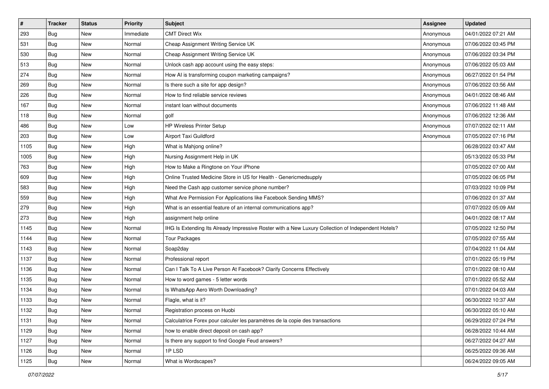| $\vert$ # | <b>Tracker</b> | <b>Status</b> | <b>Priority</b> | Subject                                                                                            | Assignee  | <b>Updated</b>      |
|-----------|----------------|---------------|-----------------|----------------------------------------------------------------------------------------------------|-----------|---------------------|
| 293       | Bug            | New           | Immediate       | <b>CMT Direct Wix</b>                                                                              | Anonymous | 04/01/2022 07:21 AM |
| 531       | Bug            | New           | Normal          | Cheap Assignment Writing Service UK                                                                | Anonymous | 07/06/2022 03:45 PM |
| 530       | Bug            | New           | Normal          | Cheap Assignment Writing Service UK                                                                | Anonymous | 07/06/2022 03:34 PM |
| 513       | Bug            | New           | Normal          | Unlock cash app account using the easy steps:                                                      | Anonymous | 07/06/2022 05:03 AM |
| 274       | Bug            | New           | Normal          | How AI is transforming coupon marketing campaigns?                                                 | Anonymous | 06/27/2022 01:54 PM |
| 269       | Bug            | New           | Normal          | Is there such a site for app design?                                                               | Anonymous | 07/06/2022 03:56 AM |
| 226       | Bug            | New           | Normal          | How to find reliable service reviews                                                               | Anonymous | 04/01/2022 08:46 AM |
| 167       | Bug            | New           | Normal          | instant loan without documents                                                                     | Anonymous | 07/06/2022 11:48 AM |
| 118       | Bug            | New           | Normal          | golf                                                                                               | Anonymous | 07/06/2022 12:36 AM |
| 486       | Bug            | New           | Low             | HP Wireless Printer Setup                                                                          | Anonymous | 07/07/2022 02:11 AM |
| 203       | <b>Bug</b>     | New           | Low             | Airport Taxi Guildford                                                                             | Anonymous | 07/05/2022 07:16 PM |
| 1105      | <b>Bug</b>     | New           | High            | What is Mahjong online?                                                                            |           | 06/28/2022 03:47 AM |
| 1005      | Bug            | New           | High            | Nursing Assignment Help in UK                                                                      |           | 05/13/2022 05:33 PM |
| 763       | Bug            | New           | High            | How to Make a Ringtone on Your iPhone                                                              |           | 07/05/2022 07:00 AM |
| 609       | <b>Bug</b>     | New           | High            | Online Trusted Medicine Store in US for Health - Genericmedsupply                                  |           | 07/05/2022 06:05 PM |
| 583       | Bug            | New           | High            | Need the Cash app customer service phone number?                                                   |           | 07/03/2022 10:09 PM |
| 559       | Bug            | <b>New</b>    | High            | What Are Permission For Applications like Facebook Sending MMS?                                    |           | 07/06/2022 01:37 AM |
| 279       | Bug            | New           | High            | What is an essential feature of an internal communications app?                                    |           | 07/07/2022 05:09 AM |
| 273       | Bug            | New           | High            | assignment help online                                                                             |           | 04/01/2022 08:17 AM |
| 1145      | <b>Bug</b>     | New           | Normal          | IHG Is Extending Its Already Impressive Roster with a New Luxury Collection of Independent Hotels? |           | 07/05/2022 12:50 PM |
| 1144      | Bug            | New           | Normal          | <b>Tour Packages</b>                                                                               |           | 07/05/2022 07:55 AM |
| 1143      | Bug            | New           | Normal          | Soap2day                                                                                           |           | 07/04/2022 11:04 AM |
| 1137      | Bug            | New           | Normal          | Professional report                                                                                |           | 07/01/2022 05:19 PM |
| 1136      | <b>Bug</b>     | New           | Normal          | Can I Talk To A Live Person At Facebook? Clarify Concerns Effectively                              |           | 07/01/2022 08:10 AM |
| 1135      | <b>Bug</b>     | New           | Normal          | How to word games - 5 letter words                                                                 |           | 07/01/2022 05:52 AM |
| 1134      | Bug            | New           | Normal          | Is WhatsApp Aero Worth Downloading?                                                                |           | 07/01/2022 04:03 AM |
| 1133      | <b>Bug</b>     | New           | Normal          | Flagle, what is it?                                                                                |           | 06/30/2022 10:37 AM |
| 1132      | <b>Bug</b>     | New           | Normal          | Registration process on Huobi                                                                      |           | 06/30/2022 05:10 AM |
| 1131      | <b>Bug</b>     | New           | Normal          | Calculatrice Forex pour calculer les paramètres de la copie des transactions                       |           | 06/29/2022 07:24 PM |
| 1129      | <b>Bug</b>     | New           | Normal          | how to enable direct deposit on cash app?                                                          |           | 06/28/2022 10:44 AM |
| 1127      | Bug            | New           | Normal          | Is there any support to find Google Feud answers?                                                  |           | 06/27/2022 04:27 AM |
| 1126      | <b>Bug</b>     | New           | Normal          | 1PLSD                                                                                              |           | 06/25/2022 09:36 AM |
| 1125      | Bug            | New           | Normal          | What is Wordscapes?                                                                                |           | 06/24/2022 09:05 AM |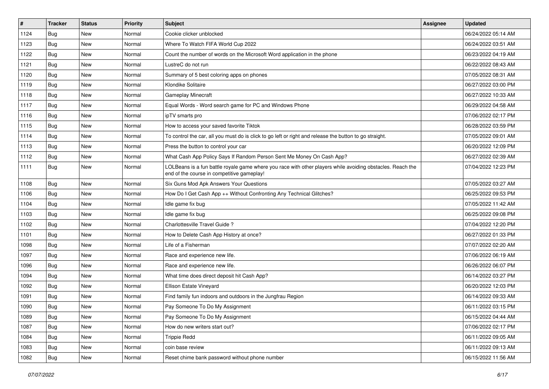| #    | <b>Tracker</b> | <b>Status</b> | <b>Priority</b> | <b>Subject</b>                                                                                                                                           | <b>Assignee</b> | <b>Updated</b>      |
|------|----------------|---------------|-----------------|----------------------------------------------------------------------------------------------------------------------------------------------------------|-----------------|---------------------|
| 1124 | Bug            | New           | Normal          | Cookie clicker unblocked                                                                                                                                 |                 | 06/24/2022 05:14 AM |
| 1123 | Bug            | New           | Normal          | Where To Watch FIFA World Cup 2022                                                                                                                       |                 | 06/24/2022 03:51 AM |
| 1122 | Bug            | New           | Normal          | Count the number of words on the Microsoft Word application in the phone                                                                                 |                 | 06/23/2022 04:19 AM |
| 1121 | Bug            | New           | Normal          | LustreC do not run                                                                                                                                       |                 | 06/22/2022 08:43 AM |
| 1120 | Bug            | New           | Normal          | Summary of 5 best coloring apps on phones                                                                                                                |                 | 07/05/2022 08:31 AM |
| 1119 | Bug            | New           | Normal          | Klondike Solitaire                                                                                                                                       |                 | 06/27/2022 03:00 PM |
| 1118 | Bug            | New           | Normal          | <b>Gameplay Minecraft</b>                                                                                                                                |                 | 06/27/2022 10:33 AM |
| 1117 | Bug            | New           | Normal          | Equal Words - Word search game for PC and Windows Phone                                                                                                  |                 | 06/29/2022 04:58 AM |
| 1116 | Bug            | New           | Normal          | ipTV smarts pro                                                                                                                                          |                 | 07/06/2022 02:17 PM |
| 1115 | Bug            | New           | Normal          | How to access your saved favorite Tiktok                                                                                                                 |                 | 06/28/2022 03:59 PM |
| 1114 | <b>Bug</b>     | New           | Normal          | To control the car, all you must do is click to go left or right and release the button to go straight.                                                  |                 | 07/05/2022 09:01 AM |
| 1113 | Bug            | New           | Normal          | Press the button to control your car                                                                                                                     |                 | 06/20/2022 12:09 PM |
| 1112 | Bug            | New           | Normal          | What Cash App Policy Says If Random Person Sent Me Money On Cash App?                                                                                    |                 | 06/27/2022 02:39 AM |
| 1111 | Bug            | New           | Normal          | LOLBeans is a fun battle royale game where you race with other players while avoiding obstacles. Reach the<br>end of the course in competitive gameplay! |                 | 07/04/2022 12:23 PM |
| 1108 | Bug            | New           | Normal          | Six Guns Mod Apk Answers Your Questions                                                                                                                  |                 | 07/05/2022 03:27 AM |
| 1106 | Bug            | New           | Normal          | How Do I Get Cash App ++ Without Confronting Any Technical Glitches?                                                                                     |                 | 06/25/2022 09:53 PM |
| 1104 | Bug            | New           | Normal          | Idle game fix bug                                                                                                                                        |                 | 07/05/2022 11:42 AM |
| 1103 | Bug            | New           | Normal          | Idle game fix bug                                                                                                                                        |                 | 06/25/2022 09:08 PM |
| 1102 | Bug            | New           | Normal          | Charlottesville Travel Guide?                                                                                                                            |                 | 07/04/2022 12:20 PM |
| 1101 | Bug            | New           | Normal          | How to Delete Cash App History at once?                                                                                                                  |                 | 06/27/2022 01:33 PM |
| 1098 | Bug            | New           | Normal          | Life of a Fisherman                                                                                                                                      |                 | 07/07/2022 02:20 AM |
| 1097 | Bug            | New           | Normal          | Race and experience new life.                                                                                                                            |                 | 07/06/2022 06:19 AM |
| 1096 | Bug            | New           | Normal          | Race and experience new life.                                                                                                                            |                 | 06/26/2022 06:07 PM |
| 1094 | Bug            | New           | Normal          | What time does direct deposit hit Cash App?                                                                                                              |                 | 06/14/2022 03:27 PM |
| 1092 | Bug            | New           | Normal          | Ellison Estate Vineyard                                                                                                                                  |                 | 06/20/2022 12:03 PM |
| 1091 | Bug            | New           | Normal          | Find family fun indoors and outdoors in the Jungfrau Region                                                                                              |                 | 06/14/2022 09:33 AM |
| 1090 | <b>Bug</b>     | New           | Normal          | Pay Someone To Do My Assignment                                                                                                                          |                 | 06/11/2022 03:15 PM |
| 1089 | <b>Bug</b>     | New           | Normal          | Pay Someone To Do My Assignment                                                                                                                          |                 | 06/15/2022 04:44 AM |
| 1087 | Bug            | New           | Normal          | How do new writers start out?                                                                                                                            |                 | 07/06/2022 02:17 PM |
| 1084 | Bug            | New           | Normal          | <b>Trippie Redd</b>                                                                                                                                      |                 | 06/11/2022 09:05 AM |
| 1083 | Bug            | New           | Normal          | coin base review                                                                                                                                         |                 | 06/11/2022 09:13 AM |
| 1082 | <b>Bug</b>     | New           | Normal          | Reset chime bank password without phone number                                                                                                           |                 | 06/15/2022 11:56 AM |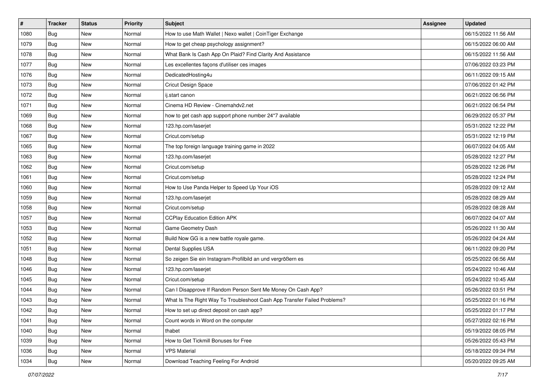| $\vert$ # | <b>Tracker</b> | <b>Status</b> | <b>Priority</b> | Subject                                                                  | Assignee | <b>Updated</b>      |
|-----------|----------------|---------------|-----------------|--------------------------------------------------------------------------|----------|---------------------|
| 1080      | Bug            | New           | Normal          | How to use Math Wallet   Nexo wallet   CoinTiger Exchange                |          | 06/15/2022 11:56 AM |
| 1079      | Bug            | New           | Normal          | How to get cheap psychology assignment?                                  |          | 06/15/2022 06:00 AM |
| 1078      | Bug            | New           | Normal          | What Bank Is Cash App On Plaid? Find Clarity And Assistance              |          | 06/15/2022 11:56 AM |
| 1077      | Bug            | New           | Normal          | Les excellentes façons d'utiliser ces images                             |          | 07/06/2022 03:23 PM |
| 1076      | Bug            | New           | Normal          | DedicatedHosting4u                                                       |          | 06/11/2022 09:15 AM |
| 1073      | <b>Bug</b>     | New           | Normal          | Cricut Design Space                                                      |          | 07/06/2022 01:42 PM |
| 1072      | <b>Bug</b>     | New           | Normal          | ij.start canon                                                           |          | 06/21/2022 06:56 PM |
| 1071      | Bug            | New           | Normal          | Cinema HD Review - Cinemahdy2.net                                        |          | 06/21/2022 06:54 PM |
| 1069      | Bug            | New           | Normal          | how to get cash app support phone number 24*7 available                  |          | 06/29/2022 05:37 PM |
| 1068      | <b>Bug</b>     | New           | Normal          | 123.hp.com/laserjet                                                      |          | 05/31/2022 12:22 PM |
| 1067      | Bug            | New           | Normal          | Cricut.com/setup                                                         |          | 05/31/2022 12:19 PM |
| 1065      | Bug            | New           | Normal          | The top foreign language training game in 2022                           |          | 06/07/2022 04:05 AM |
| 1063      | Bug            | New           | Normal          | 123.hp.com/laserjet                                                      |          | 05/28/2022 12:27 PM |
| 1062      | Bug            | New           | Normal          | Cricut.com/setup                                                         |          | 05/28/2022 12:26 PM |
| 1061      | <b>Bug</b>     | New           | Normal          | Cricut.com/setup                                                         |          | 05/28/2022 12:24 PM |
| 1060      | <b>Bug</b>     | New           | Normal          | How to Use Panda Helper to Speed Up Your iOS                             |          | 05/28/2022 09:12 AM |
| 1059      | Bug            | New           | Normal          | 123.hp.com/laserjet                                                      |          | 05/28/2022 08:29 AM |
| 1058      | Bug            | New           | Normal          | Cricut.com/setup                                                         |          | 05/28/2022 08:28 AM |
| 1057      | <b>Bug</b>     | New           | Normal          | <b>CCPlay Education Edition APK</b>                                      |          | 06/07/2022 04:07 AM |
| 1053      | Bug            | New           | Normal          | Game Geometry Dash                                                       |          | 05/26/2022 11:30 AM |
| 1052      | Bug            | New           | Normal          | Build Now GG is a new battle royale game.                                |          | 05/26/2022 04:24 AM |
| 1051      | <b>Bug</b>     | New           | Normal          | Dental Supplies USA                                                      |          | 06/11/2022 09:20 PM |
| 1048      | Bug            | New           | Normal          | So zeigen Sie ein Instagram-Profilbild an und vergrößern es              |          | 05/25/2022 06:56 AM |
| 1046      | Bug            | New           | Normal          | 123.hp.com/laserjet                                                      |          | 05/24/2022 10:46 AM |
| 1045      | Bug            | New           | Normal          | Cricut.com/setup                                                         |          | 05/24/2022 10:45 AM |
| 1044      | <b>Bug</b>     | New           | Normal          | Can I Disapprove If Random Person Sent Me Money On Cash App?             |          | 05/26/2022 03:51 PM |
| 1043      | Bug            | New           | Normal          | What Is The Right Way To Troubleshoot Cash App Transfer Failed Problems? |          | 05/25/2022 01:16 PM |
| 1042      | <b>Bug</b>     | New           | Normal          | How to set up direct deposit on cash app?                                |          | 05/25/2022 01:17 PM |
| 1041      | Bug            | New           | Normal          | Count words in Word on the computer                                      |          | 05/27/2022 02:16 PM |
| 1040      | Bug            | New           | Normal          | thabet                                                                   |          | 05/19/2022 08:05 PM |
| 1039      | Bug            | New           | Normal          | How to Get Tickmill Bonuses for Free                                     |          | 05/26/2022 05:43 PM |
| 1036      | <b>Bug</b>     | New           | Normal          | <b>VPS Material</b>                                                      |          | 05/18/2022 09:34 PM |
| 1034      | <b>Bug</b>     | New           | Normal          | Download Teaching Feeling For Android                                    |          | 05/20/2022 09:25 AM |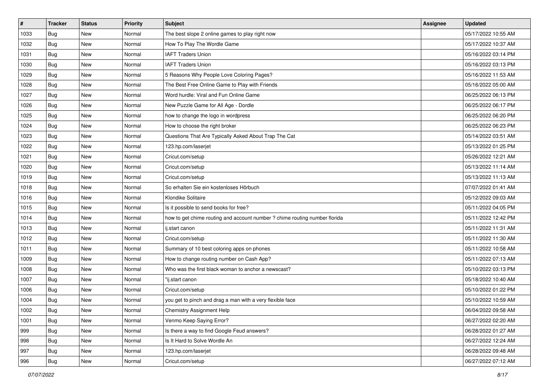| $\vert$ # | <b>Tracker</b> | <b>Status</b> | <b>Priority</b> | Subject                                                                    | Assignee | <b>Updated</b>      |
|-----------|----------------|---------------|-----------------|----------------------------------------------------------------------------|----------|---------------------|
| 1033      | Bug            | New           | Normal          | The best slope 2 online games to play right now                            |          | 05/17/2022 10:55 AM |
| 1032      | Bug            | New           | Normal          | How To Play The Wordle Game                                                |          | 05/17/2022 10:37 AM |
| 1031      | Bug            | New           | Normal          | <b>IAFT Traders Union</b>                                                  |          | 05/16/2022 03:14 PM |
| 1030      | Bug            | New           | Normal          | <b>IAFT Traders Union</b>                                                  |          | 05/16/2022 03:13 PM |
| 1029      | Bug            | New           | Normal          | 5 Reasons Why People Love Coloring Pages?                                  |          | 05/16/2022 11:53 AM |
| 1028      | <b>Bug</b>     | New           | Normal          | The Best Free Online Game to Play with Friends                             |          | 05/16/2022 05:00 AM |
| 1027      | Bug            | New           | Normal          | Word hurdle: Viral and Fun Online Game                                     |          | 06/25/2022 06:13 PM |
| 1026      | Bug            | New           | Normal          | New Puzzle Game for All Age - Dordle                                       |          | 06/25/2022 06:17 PM |
| 1025      | Bug            | New           | Normal          | how to change the logo in wordpress                                        |          | 06/25/2022 06:20 PM |
| 1024      | Bug            | New           | Normal          | How to choose the right broker                                             |          | 06/25/2022 06:23 PM |
| 1023      | <b>Bug</b>     | New           | Normal          | Questions That Are Typically Asked About Trap The Cat                      |          | 05/14/2022 03:51 AM |
| 1022      | Bug            | New           | Normal          | 123.hp.com/laserjet                                                        |          | 05/13/2022 01:25 PM |
| 1021      | <b>Bug</b>     | New           | Normal          | Cricut.com/setup                                                           |          | 05/26/2022 12:21 AM |
| 1020      | Bug            | New           | Normal          | Cricut.com/setup                                                           |          | 05/13/2022 11:14 AM |
| 1019      | Bug            | New           | Normal          | Cricut.com/setup                                                           |          | 05/13/2022 11:13 AM |
| 1018      | Bug            | New           | Normal          | So erhalten Sie ein kostenloses Hörbuch                                    |          | 07/07/2022 01:41 AM |
| 1016      | Bug            | New           | Normal          | Klondike Solitaire                                                         |          | 05/12/2022 09:03 AM |
| 1015      | Bug            | New           | Normal          | Is it possible to send books for free?                                     |          | 05/11/2022 04:05 PM |
| 1014      | Bug            | New           | Normal          | how to get chime routing and account number ? chime routing number florida |          | 05/11/2022 12:42 PM |
| 1013      | <b>Bug</b>     | New           | Normal          | ij.start canon                                                             |          | 05/11/2022 11:31 AM |
| 1012      | Bug            | New           | Normal          | Cricut.com/setup                                                           |          | 05/11/2022 11:30 AM |
| 1011      | <b>Bug</b>     | New           | Normal          | Summary of 10 best coloring apps on phones                                 |          | 05/11/2022 10:58 AM |
| 1009      | Bug            | New           | Normal          | How to change routing number on Cash App?                                  |          | 05/11/2022 07:13 AM |
| 1008      | <b>Bug</b>     | New           | Normal          | Who was the first black woman to anchor a newscast?                        |          | 05/10/2022 03:13 PM |
| 1007      | Bug            | New           | Normal          | "ij.start canon                                                            |          | 05/18/2022 10:40 AM |
| 1006      | Bug            | New           | Normal          | Cricut.com/setup                                                           |          | 05/10/2022 01:22 PM |
| 1004      | Bug            | New           | Normal          | you get to pinch and drag a man with a very flexible face                  |          | 05/10/2022 10:59 AM |
| 1002      | <b>Bug</b>     | New           | Normal          | Chemistry Assignment Help                                                  |          | 06/04/2022 09:58 AM |
| 1001      | Bug            | New           | Normal          | Venmo Keep Saying Error?                                                   |          | 06/27/2022 02:20 AM |
| 999       | Bug            | New           | Normal          | Is there a way to find Google Feud answers?                                |          | 06/28/2022 01:27 AM |
| 998       | Bug            | New           | Normal          | Is It Hard to Solve Wordle An                                              |          | 06/27/2022 12:24 AM |
| 997       | Bug            | New           | Normal          | 123.hp.com/laserjet                                                        |          | 06/28/2022 09:48 AM |
| 996       | <b>Bug</b>     | New           | Normal          | Cricut.com/setup                                                           |          | 06/27/2022 07:12 AM |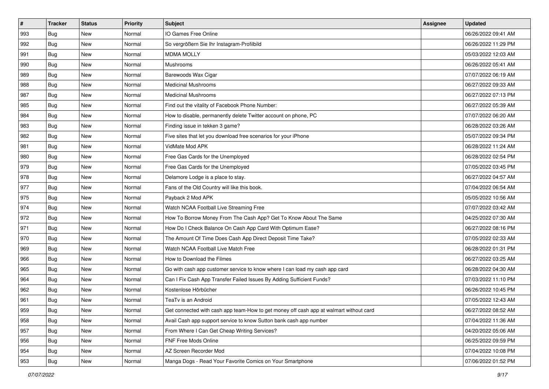| $\sharp$ | <b>Tracker</b> | <b>Status</b> | <b>Priority</b> | <b>Subject</b>                                                                         | Assignee | <b>Updated</b>      |
|----------|----------------|---------------|-----------------|----------------------------------------------------------------------------------------|----------|---------------------|
| 993      | Bug            | New           | Normal          | IO Games Free Online                                                                   |          | 06/26/2022 09:41 AM |
| 992      | Bug            | <b>New</b>    | Normal          | So vergrößern Sie Ihr Instagram-Profilbild                                             |          | 06/26/2022 11:29 PM |
| 991      | Bug            | New           | Normal          | <b>MDMA MOLLY</b>                                                                      |          | 05/03/2022 12:03 AM |
| 990      | Bug            | New           | Normal          | <b>Mushrooms</b>                                                                       |          | 06/26/2022 05:41 AM |
| 989      | Bug            | New           | Normal          | Barewoods Wax Cigar                                                                    |          | 07/07/2022 06:19 AM |
| 988      | Bug            | New           | Normal          | <b>Medicinal Mushrooms</b>                                                             |          | 06/27/2022 09:33 AM |
| 987      | Bug            | <b>New</b>    | Normal          | <b>Medicinal Mushrooms</b>                                                             |          | 06/27/2022 07:13 PM |
| 985      | Bug            | New           | Normal          | Find out the vitality of Facebook Phone Number:                                        |          | 06/27/2022 05:39 AM |
| 984      | Bug            | <b>New</b>    | Normal          | How to disable, permanently delete Twitter account on phone, PC                        |          | 07/07/2022 06:20 AM |
| 983      | Bug            | New           | Normal          | Finding issue in tekken 3 game?                                                        |          | 06/28/2022 03:26 AM |
| 982      | <b>Bug</b>     | New           | Normal          | Five sites that let you download free scenarios for your iPhone                        |          | 05/07/2022 09:34 PM |
| 981      | Bug            | New           | Normal          | VidMate Mod APK                                                                        |          | 06/28/2022 11:24 AM |
| 980      | Bug            | New           | Normal          | Free Gas Cards for the Unemployed                                                      |          | 06/28/2022 02:54 PM |
| 979      | Bug            | New           | Normal          | Free Gas Cards for the Unemployed                                                      |          | 07/05/2022 03:45 PM |
| 978      | Bug            | New           | Normal          | Delamore Lodge is a place to stay.                                                     |          | 06/27/2022 04:57 AM |
| 977      | Bug            | New           | Normal          | Fans of the Old Country will like this book.                                           |          | 07/04/2022 06:54 AM |
| 975      | Bug            | New           | Normal          | Payback 2 Mod APK                                                                      |          | 05/05/2022 10:56 AM |
| 974      | Bug            | New           | Normal          | Watch NCAA Football Live Streaming Free                                                |          | 07/07/2022 03:42 AM |
| 972      | Bug            | New           | Normal          | How To Borrow Money From The Cash App? Get To Know About The Same                      |          | 04/25/2022 07:30 AM |
| 971      | Bug            | <b>New</b>    | Normal          | How Do I Check Balance On Cash App Card With Optimum Ease?                             |          | 06/27/2022 08:16 PM |
| 970      | Bug            | New           | Normal          | The Amount Of Time Does Cash App Direct Deposit Time Take?                             |          | 07/05/2022 02:33 AM |
| 969      | Bug            | <b>New</b>    | Normal          | Watch NCAA Football Live Match Free                                                    |          | 06/28/2022 01:31 PM |
| 966      | Bug            | New           | Normal          | How to Download the Filmes                                                             |          | 06/27/2022 03:25 AM |
| 965      | <b>Bug</b>     | New           | Normal          | Go with cash app customer service to know where I can load my cash app card            |          | 06/28/2022 04:30 AM |
| 964      | Bug            | New           | Normal          | Can I Fix Cash App Transfer Failed Issues By Adding Sufficient Funds?                  |          | 07/03/2022 11:10 PM |
| 962      | Bug            | New           | Normal          | Kostenlose Hörbücher                                                                   |          | 06/26/2022 10:45 PM |
| 961      | Bug            | <b>New</b>    | Normal          | TeaTv is an Android                                                                    |          | 07/05/2022 12:43 AM |
| 959      | <b>Bug</b>     | New           | Normal          | Get connected with cash app team-How to get money off cash app at walmart without card |          | 06/27/2022 08:52 AM |
| 958      | Bug            | New           | Normal          | Avail Cash app support service to know Sutton bank cash app number                     |          | 07/04/2022 11:36 AM |
| 957      | Bug            | New           | Normal          | From Where I Can Get Cheap Writing Services?                                           |          | 04/20/2022 05:06 AM |
| 956      | <b>Bug</b>     | New           | Normal          | FNF Free Mods Online                                                                   |          | 06/25/2022 09:59 PM |
| 954      | <b>Bug</b>     | New           | Normal          | AZ Screen Recorder Mod                                                                 |          | 07/04/2022 10:08 PM |
| 953      | <b>Bug</b>     | New           | Normal          | Manga Dogs - Read Your Favorite Comics on Your Smartphone                              |          | 07/06/2022 01:52 PM |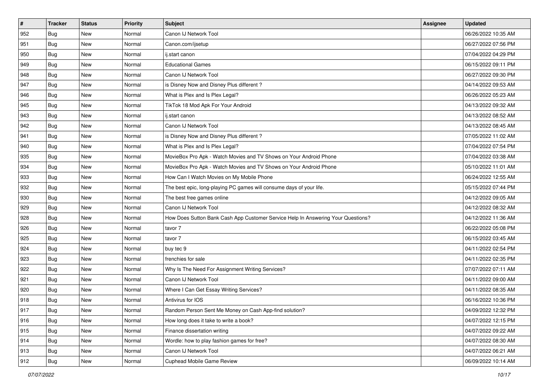| #   | <b>Tracker</b> | <b>Status</b> | <b>Priority</b> | Subject                                                                          | Assignee | <b>Updated</b>      |
|-----|----------------|---------------|-----------------|----------------------------------------------------------------------------------|----------|---------------------|
| 952 | Bug            | New           | Normal          | Canon IJ Network Tool                                                            |          | 06/26/2022 10:35 AM |
| 951 | Bug            | <b>New</b>    | Normal          | Canon.com/ijsetup                                                                |          | 06/27/2022 07:56 PM |
| 950 | Bug            | New           | Normal          | ij.start canon                                                                   |          | 07/04/2022 04:29 PM |
| 949 | Bug            | New           | Normal          | <b>Educational Games</b>                                                         |          | 06/15/2022 09:11 PM |
| 948 | Bug            | New           | Normal          | Canon IJ Network Tool                                                            |          | 06/27/2022 09:30 PM |
| 947 | Bug            | New           | Normal          | is Disney Now and Disney Plus different?                                         |          | 04/14/2022 09:53 AM |
| 946 | Bug            | New           | Normal          | What is Plex and Is Plex Legal?                                                  |          | 06/26/2022 05:23 AM |
| 945 | Bug            | New           | Normal          | TikTok 18 Mod Apk For Your Android                                               |          | 04/13/2022 09:32 AM |
| 943 | Bug            | New           | Normal          | ij.start canon                                                                   |          | 04/13/2022 08:52 AM |
| 942 | Bug            | New           | Normal          | Canon IJ Network Tool                                                            |          | 04/13/2022 08:45 AM |
| 941 | Bug            | New           | Normal          | is Disney Now and Disney Plus different?                                         |          | 07/05/2022 11:02 AM |
| 940 | Bug            | New           | Normal          | What is Plex and Is Plex Legal?                                                  |          | 07/04/2022 07:54 PM |
| 935 | Bug            | New           | Normal          | MovieBox Pro Apk - Watch Movies and TV Shows on Your Android Phone               |          | 07/04/2022 03:38 AM |
| 934 | Bug            | New           | Normal          | MovieBox Pro Apk - Watch Movies and TV Shows on Your Android Phone               |          | 05/10/2022 11:01 AM |
| 933 | <b>Bug</b>     | New           | Normal          | How Can I Watch Movies on My Mobile Phone                                        |          | 06/24/2022 12:55 AM |
| 932 | Bug            | New           | Normal          | The best epic, long-playing PC games will consume days of your life.             |          | 05/15/2022 07:44 PM |
| 930 | Bug            | New           | Normal          | The best free games online                                                       |          | 04/12/2022 09:05 AM |
| 929 | Bug            | New           | Normal          | Canon IJ Network Tool                                                            |          | 04/12/2022 08:32 AM |
| 928 | Bug            | New           | Normal          | How Does Sutton Bank Cash App Customer Service Help In Answering Your Questions? |          | 04/12/2022 11:36 AM |
| 926 | <b>Bug</b>     | <b>New</b>    | Normal          | tavor 7                                                                          |          | 06/22/2022 05:08 PM |
| 925 | Bug            | New           | Normal          | tavor 7                                                                          |          | 06/15/2022 03:45 AM |
| 924 | Bug            | <b>New</b>    | Normal          | buy tec 9                                                                        |          | 04/11/2022 02:54 PM |
| 923 | Bug            | <b>New</b>    | Normal          | frenchies for sale                                                               |          | 04/11/2022 02:35 PM |
| 922 | <b>Bug</b>     | New           | Normal          | Why Is The Need For Assignment Writing Services?                                 |          | 07/07/2022 07:11 AM |
| 921 | Bug            | New           | Normal          | Canon IJ Network Tool                                                            |          | 04/11/2022 09:00 AM |
| 920 | Bug            | New           | Normal          | Where I Can Get Essay Writing Services?                                          |          | 04/11/2022 08:35 AM |
| 918 | <b>Bug</b>     | New           | Normal          | Antivirus for IOS                                                                |          | 06/16/2022 10:36 PM |
| 917 | <b>Bug</b>     | New           | Normal          | Random Person Sent Me Money on Cash App-find solution?                           |          | 04/09/2022 12:32 PM |
| 916 | Bug            | New           | Normal          | How long does it take to write a book?                                           |          | 04/07/2022 12:15 PM |
| 915 | Bug            | New           | Normal          | Finance dissertation writing                                                     |          | 04/07/2022 09:22 AM |
| 914 | <b>Bug</b>     | New           | Normal          | Wordle: how to play fashion games for free?                                      |          | 04/07/2022 08:30 AM |
| 913 | Bug            | New           | Normal          | Canon IJ Network Tool                                                            |          | 04/07/2022 06:21 AM |
| 912 | <b>Bug</b>     | New           | Normal          | Cuphead Mobile Game Review                                                       |          | 06/09/2022 10:14 AM |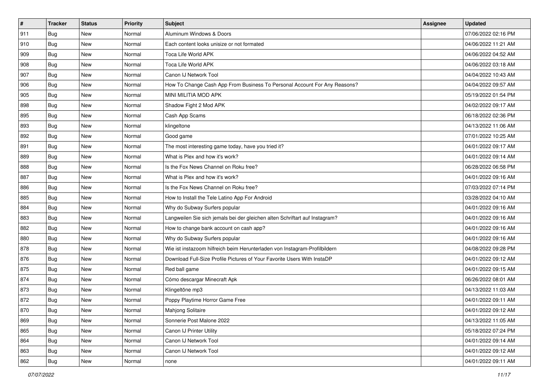| #   | <b>Tracker</b> | <b>Status</b> | <b>Priority</b> | Subject                                                                     | Assignee | <b>Updated</b>      |
|-----|----------------|---------------|-----------------|-----------------------------------------------------------------------------|----------|---------------------|
| 911 | Bug            | New           | Normal          | Aluminum Windows & Doors                                                    |          | 07/06/2022 02:16 PM |
| 910 | Bug            | <b>New</b>    | Normal          | Each content looks unisize or not formated                                  |          | 04/06/2022 11:21 AM |
| 909 | Bug            | New           | Normal          | Toca Life World APK                                                         |          | 04/06/2022 04:52 AM |
| 908 | Bug            | New           | Normal          | Toca Life World APK                                                         |          | 04/06/2022 03:18 AM |
| 907 | Bug            | New           | Normal          | Canon IJ Network Tool                                                       |          | 04/04/2022 10:43 AM |
| 906 | Bug            | New           | Normal          | How To Change Cash App From Business To Personal Account For Any Reasons?   |          | 04/04/2022 09:57 AM |
| 905 | Bug            | New           | Normal          | MINI MILITIA MOD APK                                                        |          | 05/19/2022 01:54 PM |
| 898 | Bug            | New           | Normal          | Shadow Fight 2 Mod APK                                                      |          | 04/02/2022 09:17 AM |
| 895 | Bug            | <b>New</b>    | Normal          | Cash App Scams                                                              |          | 06/18/2022 02:36 PM |
| 893 | Bug            | New           | Normal          | klingeltone                                                                 |          | 04/13/2022 11:06 AM |
| 892 | Bug            | New           | Normal          | Good game                                                                   |          | 07/01/2022 10:25 AM |
| 891 | Bug            | New           | Normal          | The most interesting game today, have you tried it?                         |          | 04/01/2022 09:17 AM |
| 889 | Bug            | New           | Normal          | What is Plex and how it's work?                                             |          | 04/01/2022 09:14 AM |
| 888 | Bug            | New           | Normal          | Is the Fox News Channel on Roku free?                                       |          | 06/28/2022 06:58 PM |
| 887 | <b>Bug</b>     | New           | Normal          | What is Plex and how it's work?                                             |          | 04/01/2022 09:16 AM |
| 886 | Bug            | New           | Normal          | Is the Fox News Channel on Roku free?                                       |          | 07/03/2022 07:14 PM |
| 885 | Bug            | New           | Normal          | How to Install the Tele Latino App For Android                              |          | 03/28/2022 04:10 AM |
| 884 | Bug            | <b>New</b>    | Normal          | Why do Subway Surfers popular                                               |          | 04/01/2022 09:16 AM |
| 883 | Bug            | New           | Normal          | Langweilen Sie sich jemals bei der gleichen alten Schriftart auf Instagram? |          | 04/01/2022 09:16 AM |
| 882 | Bug            | <b>New</b>    | Normal          | How to change bank account on cash app?                                     |          | 04/01/2022 09:16 AM |
| 880 | Bug            | New           | Normal          | Why do Subway Surfers popular                                               |          | 04/01/2022 09:16 AM |
| 878 | Bug            | <b>New</b>    | Normal          | Wie ist instazoom hilfreich beim Herunterladen von Instagram-Profilbildern  |          | 04/08/2022 09:28 PM |
| 876 | Bug            | <b>New</b>    | Normal          | Download Full-Size Profile Pictures of Your Favorite Users With InstaDP     |          | 04/01/2022 09:12 AM |
| 875 | <b>Bug</b>     | New           | Normal          | Red ball game                                                               |          | 04/01/2022 09:15 AM |
| 874 | Bug            | New           | Normal          | Cómo descargar Minecraft Apk                                                |          | 06/26/2022 08:01 AM |
| 873 | Bug            | New           | Normal          | Klingeltöne mp3                                                             |          | 04/13/2022 11:03 AM |
| 872 | <b>Bug</b>     | New           | Normal          | Poppy Playtime Horror Game Free                                             |          | 04/01/2022 09:11 AM |
| 870 | <b>Bug</b>     | New           | Normal          | Mahjong Solitaire                                                           |          | 04/01/2022 09:12 AM |
| 869 | Bug            | New           | Normal          | Sonnerie Post Malone 2022                                                   |          | 04/13/2022 11:05 AM |
| 865 | Bug            | New           | Normal          | Canon IJ Printer Utility                                                    |          | 05/18/2022 07:24 PM |
| 864 | Bug            | New           | Normal          | Canon IJ Network Tool                                                       |          | 04/01/2022 09:14 AM |
| 863 | Bug            | New           | Normal          | Canon IJ Network Tool                                                       |          | 04/01/2022 09:12 AM |
| 862 | <b>Bug</b>     | New           | Normal          | none                                                                        |          | 04/01/2022 09:11 AM |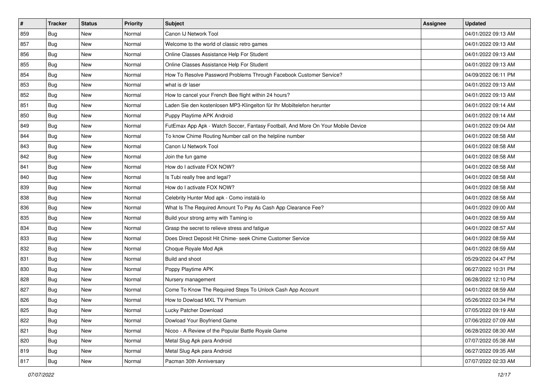| $\sharp$ | <b>Tracker</b> | <b>Status</b> | <b>Priority</b> | <b>Subject</b>                                                                   | Assignee | <b>Updated</b>      |
|----------|----------------|---------------|-----------------|----------------------------------------------------------------------------------|----------|---------------------|
| 859      | Bug            | New           | Normal          | Canon IJ Network Tool                                                            |          | 04/01/2022 09:13 AM |
| 857      | Bug            | <b>New</b>    | Normal          | Welcome to the world of classic retro games                                      |          | 04/01/2022 09:13 AM |
| 856      | Bug            | New           | Normal          | Online Classes Assistance Help For Student                                       |          | 04/01/2022 09:13 AM |
| 855      | Bug            | New           | Normal          | Online Classes Assistance Help For Student                                       |          | 04/01/2022 09:13 AM |
| 854      | Bug            | New           | Normal          | How To Resolve Password Problems Through Facebook Customer Service?              |          | 04/09/2022 06:11 PM |
| 853      | Bug            | New           | Normal          | what is dr laser                                                                 |          | 04/01/2022 09:13 AM |
| 852      | Bug            | <b>New</b>    | Normal          | How to cancel your French Bee flight within 24 hours?                            |          | 04/01/2022 09:13 AM |
| 851      | Bug            | New           | Normal          | Laden Sie den kostenlosen MP3-Klingelton für Ihr Mobiltelefon herunter           |          | 04/01/2022 09:14 AM |
| 850      | Bug            | <b>New</b>    | Normal          | Puppy Playtime APK Android                                                       |          | 04/01/2022 09:14 AM |
| 849      | Bug            | New           | Normal          | FutEmax App Apk - Watch Soccer, Fantasy Football, And More On Your Mobile Device |          | 04/01/2022 09:04 AM |
| 844      | <b>Bug</b>     | <b>New</b>    | Normal          | To know Chime Routing Number call on the helpline number                         |          | 04/01/2022 08:58 AM |
| 843      | Bug            | New           | Normal          | Canon IJ Network Tool                                                            |          | 04/01/2022 08:58 AM |
| 842      | Bug            | New           | Normal          | Join the fun game                                                                |          | 04/01/2022 08:58 AM |
| 841      | Bug            | New           | Normal          | How do I activate FOX NOW?                                                       |          | 04/01/2022 08:58 AM |
| 840      | Bug            | New           | Normal          | Is Tubi really free and legal?                                                   |          | 04/01/2022 08:58 AM |
| 839      | Bug            | <b>New</b>    | Normal          | How do I activate FOX NOW?                                                       |          | 04/01/2022 08:58 AM |
| 838      | Bug            | New           | Normal          | Celebrity Hunter Mod apk - Como instalá-lo                                       |          | 04/01/2022 08:58 AM |
| 836      | Bug            | New           | Normal          | What Is The Required Amount To Pay As Cash App Clearance Fee?                    |          | 04/01/2022 09:00 AM |
| 835      | Bug            | New           | Normal          | Build your strong army with Taming io                                            |          | 04/01/2022 08:59 AM |
| 834      | Bug            | <b>New</b>    | Normal          | Grasp the secret to relieve stress and fatigue                                   |          | 04/01/2022 08:57 AM |
| 833      | Bug            | New           | Normal          | Does Direct Deposit Hit Chime- seek Chime Customer Service                       |          | 04/01/2022 08:59 AM |
| 832      | Bug            | <b>New</b>    | Normal          | Choque Royale Mod Apk                                                            |          | 04/01/2022 08:59 AM |
| 831      | Bug            | New           | Normal          | Build and shoot                                                                  |          | 05/29/2022 04:47 PM |
| 830      | <b>Bug</b>     | New           | Normal          | Poppy Playtime APK                                                               |          | 06/27/2022 10:31 PM |
| 828      | Bug            | New           | Normal          | Nursery management                                                               |          | 06/28/2022 12:10 PM |
| 827      | Bug            | New           | Normal          | Come To Know The Required Steps To Unlock Cash App Account                       |          | 04/01/2022 08:59 AM |
| 826      | Bug            | <b>New</b>    | Normal          | How to Dowload MXL TV Premium                                                    |          | 05/26/2022 03:34 PM |
| 825      | <b>Bug</b>     | New           | Normal          | Lucky Patcher Download                                                           |          | 07/05/2022 09:19 AM |
| 822      | Bug            | New           | Normal          | Dowload Your Boyfriend Game                                                      |          | 07/06/2022 07:09 AM |
| 821      | Bug            | New           | Normal          | Nicoo - A Review of the Popular Battle Royale Game                               |          | 06/28/2022 08:30 AM |
| 820      | <b>Bug</b>     | New           | Normal          | Metal Slug Apk para Android                                                      |          | 07/07/2022 05:38 AM |
| 819      | <b>Bug</b>     | New           | Normal          | Metal Slug Apk para Android                                                      |          | 06/27/2022 09:35 AM |
| 817      | <b>Bug</b>     | New           | Normal          | Pacman 30th Anniversary                                                          |          | 07/07/2022 02:33 AM |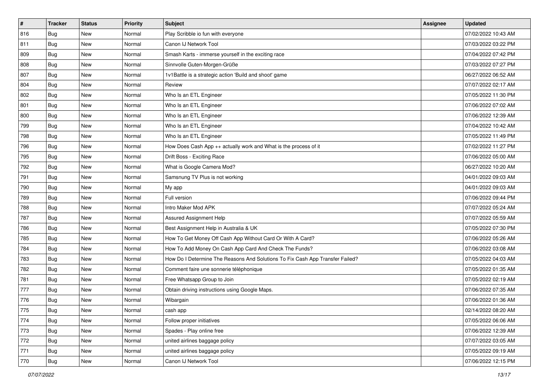| $\sharp$ | <b>Tracker</b> | <b>Status</b> | <b>Priority</b> | Subject                                                                       | Assignee | <b>Updated</b>      |
|----------|----------------|---------------|-----------------|-------------------------------------------------------------------------------|----------|---------------------|
| 816      | Bug            | New           | Normal          | Play Scribble io fun with everyone                                            |          | 07/02/2022 10:43 AM |
| 811      | Bug            | <b>New</b>    | Normal          | Canon IJ Network Tool                                                         |          | 07/03/2022 03:22 PM |
| 809      | Bug            | New           | Normal          | Smash Karts - immerse yourself in the exciting race                           |          | 07/04/2022 07:42 PM |
| 808      | Bug            | New           | Normal          | Sinnvolle Guten-Morgen-Grüße                                                  |          | 07/03/2022 07:27 PM |
| 807      | Bug            | New           | Normal          | 1v1Battle is a strategic action 'Build and shoot' game                        |          | 06/27/2022 06:52 AM |
| 804      | Bug            | New           | Normal          | Review                                                                        |          | 07/07/2022 02:17 AM |
| 802      | Bug            | New           | Normal          | Who Is an ETL Engineer                                                        |          | 07/05/2022 11:30 PM |
| 801      | Bug            | New           | Normal          | Who Is an ETL Engineer                                                        |          | 07/06/2022 07:02 AM |
| 800      | Bug            | New           | Normal          | Who Is an ETL Engineer                                                        |          | 07/06/2022 12:39 AM |
| 799      | Bug            | New           | Normal          | Who Is an ETL Engineer                                                        |          | 07/04/2022 10:42 AM |
| 798      | <b>Bug</b>     | New           | Normal          | Who Is an ETL Engineer                                                        |          | 07/05/2022 11:49 PM |
| 796      | Bug            | New           | Normal          | How Does Cash App ++ actually work and What is the process of it              |          | 07/02/2022 11:27 PM |
| 795      | Bug            | New           | Normal          | Drift Boss - Exciting Race                                                    |          | 07/06/2022 05:00 AM |
| 792      | Bug            | New           | Normal          | What is Google Camera Mod?                                                    |          | 06/27/2022 10:20 AM |
| 791      | Bug            | New           | Normal          | Samsnung TV Plus is not working                                               |          | 04/01/2022 09:03 AM |
| 790      | Bug            | New           | Normal          | My app                                                                        |          | 04/01/2022 09:03 AM |
| 789      | Bug            | New           | Normal          | Full version                                                                  |          | 07/06/2022 09:44 PM |
| 788      | Bug            | New           | Normal          | Intro Maker Mod APK                                                           |          | 07/07/2022 05:24 AM |
| 787      | Bug            | New           | Normal          | Assured Assignment Help                                                       |          | 07/07/2022 05:59 AM |
| 786      | <b>Bug</b>     | <b>New</b>    | Normal          | Best Assignment Help in Australia & UK                                        |          | 07/05/2022 07:30 PM |
| 785      | Bug            | New           | Normal          | How To Get Money Off Cash App Without Card Or With A Card?                    |          | 07/06/2022 05:26 AM |
| 784      | Bug            | <b>New</b>    | Normal          | How To Add Money On Cash App Card And Check The Funds?                        |          | 07/06/2022 03:08 AM |
| 783      | Bug            | New           | Normal          | How Do I Determine The Reasons And Solutions To Fix Cash App Transfer Failed? |          | 07/05/2022 04:03 AM |
| 782      | <b>Bug</b>     | New           | Normal          | Comment faire une sonnerie téléphonique                                       |          | 07/05/2022 01:35 AM |
| 781      | Bug            | New           | Normal          | Free Whatsapp Group to Join                                                   |          | 07/05/2022 02:19 AM |
| 777      | Bug            | New           | Normal          | Obtain driving instructions using Google Maps.                                |          | 07/06/2022 07:35 AM |
| 776      | Bug            | New           | Normal          | Wibargain                                                                     |          | 07/06/2022 01:36 AM |
| 775      | <b>Bug</b>     | New           | Normal          | cash app                                                                      |          | 02/14/2022 08:20 AM |
| 774      | Bug            | New           | Normal          | Follow proper initiatives                                                     |          | 07/05/2022 06:06 AM |
| 773      | Bug            | New           | Normal          | Spades - Play online free                                                     |          | 07/06/2022 12:39 AM |
| 772      | <b>Bug</b>     | New           | Normal          | united airlines baggage policy                                                |          | 07/07/2022 03:05 AM |
| 771      | Bug            | New           | Normal          | united airlines baggage policy                                                |          | 07/05/2022 09:19 AM |
| 770      | <b>Bug</b>     | New           | Normal          | Canon IJ Network Tool                                                         |          | 07/06/2022 12:15 PM |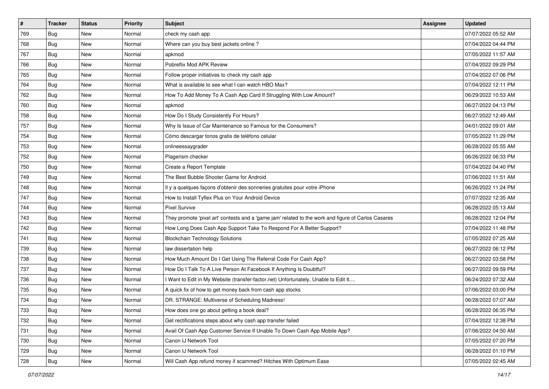| #   | <b>Tracker</b> | <b>Status</b> | <b>Priority</b> | <b>Subject</b>                                                                                      | Assignee | <b>Updated</b>      |
|-----|----------------|---------------|-----------------|-----------------------------------------------------------------------------------------------------|----------|---------------------|
| 769 | Bug            | New           | Normal          | check my cash app                                                                                   |          | 07/07/2022 05:52 AM |
| 768 | Bug            | New           | Normal          | Where can you buy best jackets online?                                                              |          | 07/04/2022 04:44 PM |
| 767 | Bug            | New           | Normal          | apkmod                                                                                              |          | 07/05/2022 11:57 AM |
| 766 | Bug            | New           | Normal          | Pobreflix Mod APK Review                                                                            |          | 07/04/2022 09:29 PM |
| 765 | Bug            | New           | Normal          | Follow proper initiatives to check my cash app                                                      |          | 07/04/2022 07:06 PM |
| 764 | Bug            | New           | Normal          | What is available to see what I can watch HBO Max?                                                  |          | 07/04/2022 12:11 PM |
| 762 | Bug            | New           | Normal          | How To Add Money To A Cash App Card If Struggling With Low Amount?                                  |          | 06/29/2022 10:53 AM |
| 760 | <b>Bug</b>     | New           | Normal          | apkmod                                                                                              |          | 06/27/2022 04:13 PM |
| 758 | Bug            | New           | Normal          | How Do I Study Consistently For Hours?                                                              |          | 06/27/2022 12:49 AM |
| 757 | Bug            | New           | Normal          | Why Is Issue of Car Maintenance so Famous for the Consumers?                                        |          | 04/01/2022 09:01 AM |
| 754 | Bug            | New           | Normal          | Cómo descargar tonos gratis de teléfono celular                                                     |          | 07/05/2022 11:29 PM |
| 753 | Bug            | New           | Normal          | onlineessaygrader                                                                                   |          | 06/28/2022 05:55 AM |
| 752 | Bug            | New           | Normal          | Plagerism checker                                                                                   |          | 06/26/2022 06:33 PM |
| 750 | Bug            | New           | Normal          | Create a Report Template                                                                            |          | 07/04/2022 04:40 PM |
| 749 | Bug            | New           | Normal          | The Best Bubble Shooter Game for Android                                                            |          | 07/06/2022 11:51 AM |
| 748 | Bug            | New           | Normal          | Il y a quelques façons d'obtenir des sonneries gratuites pour votre iPhone                          |          | 06/26/2022 11:24 PM |
| 747 | Bug            | New           | Normal          | How to Install Tyflex Plus on Your Android Device                                                   |          | 07/07/2022 12:35 AM |
| 744 | Bug            | New           | Normal          | <b>Pixel Survive</b>                                                                                |          | 06/28/2022 05:13 AM |
| 743 | Bug            | New           | Normal          | They promote 'pixel art' contests and a 'game jam' related to the work and figure of Carlos Casares |          | 06/28/2022 12:04 PM |
| 742 | Bug            | New           | Normal          | How Long Does Cash App Support Take To Respond For A Better Support?                                |          | 07/04/2022 11:48 PM |
| 741 | <b>Bug</b>     | New           | Normal          | <b>Blockchain Technology Solutions</b>                                                              |          | 07/05/2022 07:25 AM |
| 739 | Bug            | New           | Normal          | law dissertation help                                                                               |          | 06/27/2022 06:12 PM |
| 738 | Bug            | New           | Normal          | How Much Amount Do I Get Using The Referral Code For Cash App?                                      |          | 06/27/2022 03:58 PM |
| 737 | <b>Bug</b>     | New           | Normal          | How Do I Talk To A Live Person At Facebook If Anything Is Doubtful?                                 |          | 06/27/2022 09:59 PM |
| 736 | Bug            | New           | Normal          | I Want to Edit in My Website (transfer-factor.net) Unfortunately, Unable to Edit It                 |          | 06/24/2022 07:32 AM |
| 735 | Bug            | New           | Normal          | A quick fix of how to get money back from cash app stocks                                           |          | 07/06/2022 03:00 PM |
| 734 | Bug            | New           | Normal          | DR. STRANGE: Multiverse of Scheduling Madness!                                                      |          | 06/28/2022 07:07 AM |
| 733 | Bug            | New           | Normal          | How does one go about getting a book deal?                                                          |          | 06/28/2022 06:35 PM |
| 732 | Bug            | New           | Normal          | Get rectifications steps about why cash app transfer failed                                         |          | 07/04/2022 12:38 PM |
| 731 | <b>Bug</b>     | New           | Normal          | Avail Of Cash App Customer Service If Unable To Down Cash App Mobile App?                           |          | 07/06/2022 04:50 AM |
| 730 | <b>Bug</b>     | New           | Normal          | Canon IJ Network Tool                                                                               |          | 07/05/2022 07:20 PM |
| 729 | <b>Bug</b>     | New           | Normal          | Canon IJ Network Tool                                                                               |          | 06/28/2022 01:10 PM |
| 728 | <b>Bug</b>     | New           | Normal          | Will Cash App refund money if scammed? Hitches With Optimum Ease                                    |          | 07/05/2022 02:45 AM |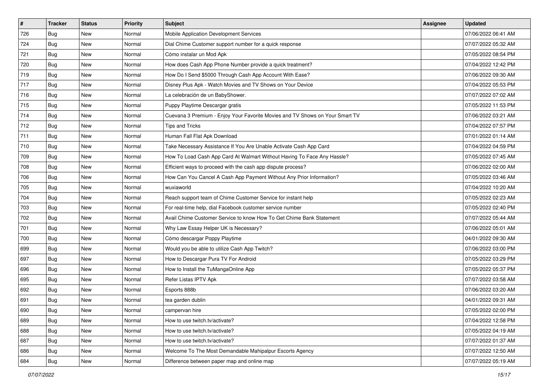| $\sharp$ | <b>Tracker</b> | <b>Status</b> | <b>Priority</b> | Subject                                                                      | <b>Assignee</b> | <b>Updated</b>      |
|----------|----------------|---------------|-----------------|------------------------------------------------------------------------------|-----------------|---------------------|
| 726      | Bug            | New           | Normal          | Mobile Application Development Services                                      |                 | 07/06/2022 06:41 AM |
| 724      | Bug            | New           | Normal          | Dial Chime Customer support number for a quick response                      |                 | 07/07/2022 05:32 AM |
| 721      | Bug            | New           | Normal          | Cómo instalar un Mod Apk                                                     |                 | 07/05/2022 08:54 PM |
| 720      | Bug            | New           | Normal          | How does Cash App Phone Number provide a quick treatment?                    |                 | 07/04/2022 12:42 PM |
| 719      | Bug            | New           | Normal          | How Do I Send \$5000 Through Cash App Account With Ease?                     |                 | 07/06/2022 09:30 AM |
| 717      | Bug            | New           | Normal          | Disney Plus Apk - Watch Movies and TV Shows on Your Device                   |                 | 07/04/2022 05:53 PM |
| 716      | Bug            | New           | Normal          | La celebración de un BabyShower.                                             |                 | 07/07/2022 07:02 AM |
| 715      | Bug            | New           | Normal          | Puppy Playtime Descargar gratis                                              |                 | 07/05/2022 11:53 PM |
| 714      | Bug            | New           | Normal          | Cuevana 3 Premium - Enjoy Your Favorite Movies and TV Shows on Your Smart TV |                 | 07/06/2022 03:21 AM |
| 712      | Bug            | New           | Normal          | Tips and Tricks                                                              |                 | 07/04/2022 07:57 PM |
| 711      | Bug            | New           | Normal          | Human Fall Flat Apk Download                                                 |                 | 07/01/2022 01:14 AM |
| 710      | Bug            | New           | Normal          | Take Necessary Assistance If You Are Unable Activate Cash App Card           |                 | 07/04/2022 04:59 PM |
| 709      | Bug            | New           | Normal          | How To Load Cash App Card At Walmart Without Having To Face Any Hassle?      |                 | 07/05/2022 07:45 AM |
| 708      | Bug            | New           | Normal          | Efficient ways to proceed with the cash app dispute process?                 |                 | 07/06/2022 02:00 AM |
| 706      | Bug            | New           | Normal          | How Can You Cancel A Cash App Payment Without Any Prior Information?         |                 | 07/05/2022 03:46 AM |
| 705      | Bug            | New           | Normal          | wuxiaworld                                                                   |                 | 07/04/2022 10:20 AM |
| 704      | Bug            | <b>New</b>    | Normal          | Reach support team of Chime Customer Service for instant help                |                 | 07/05/2022 02:23 AM |
| 703      | Bug            | New           | Normal          | For real-time help, dial Facebook customer service number                    |                 | 07/05/2022 02:40 PM |
| 702      | Bug            | New           | Normal          | Avail Chime Customer Service to know How To Get Chime Bank Statement         |                 | 07/07/2022 05:44 AM |
| 701      | Bug            | <b>New</b>    | Normal          | Why Law Essay Helper UK is Necessary?                                        |                 | 07/06/2022 05:01 AM |
| 700      | Bug            | New           | Normal          | Cómo descargar Poppy Playtime                                                |                 | 04/01/2022 09:30 AM |
| 699      | Bug            | New           | Normal          | Would you be able to utilize Cash App Twitch?                                |                 | 07/06/2022 03:00 PM |
| 697      | Bug            | New           | Normal          | How to Descargar Pura TV For Android                                         |                 | 07/05/2022 03:29 PM |
| 696      | Bug            | New           | Normal          | How to Install the TuMangaOnline App                                         |                 | 07/05/2022 05:37 PM |
| 695      | Bug            | New           | Normal          | Refer Listas IPTV Apk                                                        |                 | 07/07/2022 03:58 AM |
| 692      | Bug            | <b>New</b>    | Normal          | Esports 888b                                                                 |                 | 07/06/2022 03:20 AM |
| 691      | Bug            | New           | Normal          | tea garden dublin                                                            |                 | 04/01/2022 09:31 AM |
| 690      | <b>Bug</b>     | New           | Normal          | campervan hire                                                               |                 | 07/05/2022 02:00 PM |
| 689      | Bug            | New           | Normal          | How to use twitch.tv/activate?                                               |                 | 07/04/2022 12:58 PM |
| 688      | Bug            | New           | Normal          | How to use twitch.tv/activate?                                               |                 | 07/05/2022 04:19 AM |
| 687      | Bug            | New           | Normal          | How to use twitch.tv/activate?                                               |                 | 07/07/2022 01:37 AM |
| 686      | Bug            | New           | Normal          | Welcome To The Most Demandable Mahipalpur Escorts Agency                     |                 | 07/07/2022 12:50 AM |
| 684      | <b>Bug</b>     | New           | Normal          | Difference between paper map and online map                                  |                 | 07/07/2022 05:19 AM |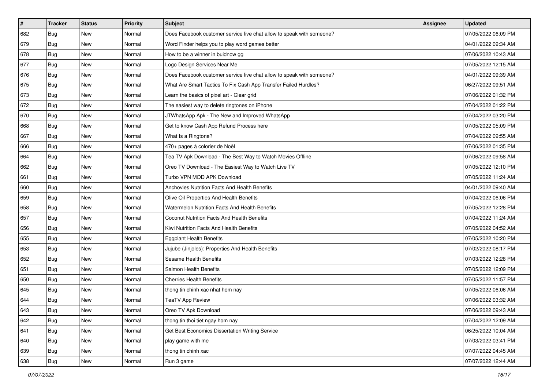| $\sharp$ | <b>Tracker</b> | <b>Status</b> | <b>Priority</b> | Subject                                                               | Assignee | <b>Updated</b>      |
|----------|----------------|---------------|-----------------|-----------------------------------------------------------------------|----------|---------------------|
| 682      | Bug            | New           | Normal          | Does Facebook customer service live chat allow to speak with someone? |          | 07/05/2022 06:09 PM |
| 679      | Bug            | New           | Normal          | Word Finder helps you to play word games better                       |          | 04/01/2022 09:34 AM |
| 678      | Bug            | New           | Normal          | How to be a winner in buidnow gg                                      |          | 07/06/2022 10:43 AM |
| 677      | Bug            | <b>New</b>    | Normal          | Logo Design Services Near Me                                          |          | 07/05/2022 12:15 AM |
| 676      | Bug            | New           | Normal          | Does Facebook customer service live chat allow to speak with someone? |          | 04/01/2022 09:39 AM |
| 675      | Bug            | New           | Normal          | What Are Smart Tactics To Fix Cash App Transfer Failed Hurdles?       |          | 06/27/2022 09:51 AM |
| 673      | Bug            | New           | Normal          | Learn the basics of pixel art - Clear grid                            |          | 07/06/2022 01:32 PM |
| 672      | Bug            | New           | Normal          | The easiest way to delete ringtones on iPhone                         |          | 07/04/2022 01:22 PM |
| 670      | Bug            | New           | Normal          | JTWhatsApp Apk - The New and Improved WhatsApp                        |          | 07/04/2022 03:20 PM |
| 668      | Bug            | New           | Normal          | Get to know Cash App Refund Process here                              |          | 07/05/2022 05:09 PM |
| 667      | Bug            | New           | Normal          | What Is a Ringtone?                                                   |          | 07/04/2022 09:55 AM |
| 666      | Bug            | New           | Normal          | 470+ pages à colorier de Noël                                         |          | 07/06/2022 01:35 PM |
| 664      | Bug            | <b>New</b>    | Normal          | Tea TV Apk Download - The Best Way to Watch Movies Offline            |          | 07/06/2022 09:58 AM |
| 662      | <b>Bug</b>     | New           | Normal          | Oreo TV Download - The Easiest Way to Watch Live TV                   |          | 07/05/2022 12:10 PM |
| 661      | <b>Bug</b>     | <b>New</b>    | Normal          | Turbo VPN MOD APK Download                                            |          | 07/05/2022 11:24 AM |
| 660      | Bug            | New           | Normal          | Anchovies Nutrition Facts And Health Benefits                         |          | 04/01/2022 09:40 AM |
| 659      | Bug            | New           | Normal          | Olive Oil Properties And Health Benefits                              |          | 07/04/2022 06:06 PM |
| 658      | Bug            | New           | Normal          | Watermelon Nutrition Facts And Health Benefits                        |          | 07/05/2022 12:28 PM |
| 657      | Bug            | New           | Normal          | Coconut Nutrition Facts And Health Benefits                           |          | 07/04/2022 11:24 AM |
| 656      | Bug            | New           | Normal          | Kiwi Nutrition Facts And Health Benefits                              |          | 07/05/2022 04:52 AM |
| 655      | Bug            | New           | Normal          | <b>Eggplant Health Benefits</b>                                       |          | 07/05/2022 10:20 PM |
| 653      | Bug            | New           | Normal          | Jujube (Jinjoles): Properties And Health Benefits                     |          | 07/02/2022 08:17 PM |
| 652      | <b>Bug</b>     | New           | Normal          | Sesame Health Benefits                                                |          | 07/03/2022 12:28 PM |
| 651      | <b>Bug</b>     | New           | Normal          | Salmon Health Benefits                                                |          | 07/05/2022 12:09 PM |
| 650      | Bug            | New           | Normal          | <b>Cherries Health Benefits</b>                                       |          | 07/05/2022 11:57 PM |
| 645      | Bug            | <b>New</b>    | Normal          | thong tin chinh xac nhat hom nay                                      |          | 07/05/2022 06:06 AM |
| 644      | <b>Bug</b>     | <b>New</b>    | Normal          | <b>TeaTV App Review</b>                                               |          | 07/06/2022 03:32 AM |
| 643      | <b>Bug</b>     | New           | Normal          | Oreo TV Apk Download                                                  |          | 07/06/2022 09:43 AM |
| 642      | Bug            | New           | Normal          | thong tin thoi tiet ngay hom nay                                      |          | 07/04/2022 12:09 AM |
| 641      | Bug            | New           | Normal          | Get Best Economics Dissertation Writing Service                       |          | 06/25/2022 10:04 AM |
| 640      | Bug            | New           | Normal          | play game with me                                                     |          | 07/03/2022 03:41 PM |
| 639      | <b>Bug</b>     | New           | Normal          | thong tin chinh xac                                                   |          | 07/07/2022 04:45 AM |
| 638      | <b>Bug</b>     | New           | Normal          | Run 3 game                                                            |          | 07/07/2022 12:44 AM |